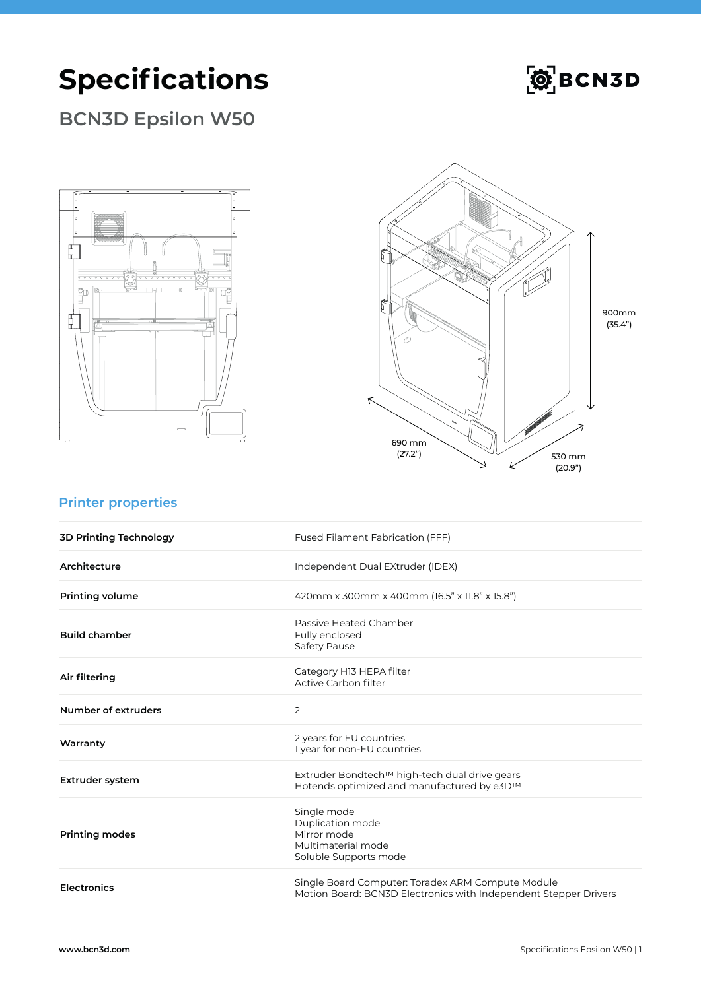# **Specifications**



### **BCN3D Epsilon W50**





#### **Printer properties**

| <b>3D Printing Technology</b> | Fused Filament Fabrication (FFF)                                                                                      |
|-------------------------------|-----------------------------------------------------------------------------------------------------------------------|
| Architecture                  | Independent Dual EXtruder (IDEX)                                                                                      |
| <b>Printing volume</b>        | 420mm x 300mm x 400mm (16.5" x 11.8" x 15.8")                                                                         |
| <b>Build chamber</b>          | Passive Heated Chamber<br>Fully enclosed<br><b>Safety Pause</b>                                                       |
| Air filtering                 | Category H13 HEPA filter<br>Active Carbon filter                                                                      |
| Number of extruders           | $\overline{2}$                                                                                                        |
| Warranty                      | 2 years for EU countries<br>1 year for non-EU countries                                                               |
| <b>Extruder system</b>        | Extruder Bondtech™ high-tech dual drive gears<br>Hotends optimized and manufactured by e3D™                           |
| <b>Printing modes</b>         | Single mode<br>Duplication mode<br>Mirror mode<br>Multimaterial mode<br>Soluble Supports mode                         |
| <b>Electronics</b>            | Single Board Computer: Toradex ARM Compute Module<br>Motion Board: BCN3D Electronics with Independent Stepper Drivers |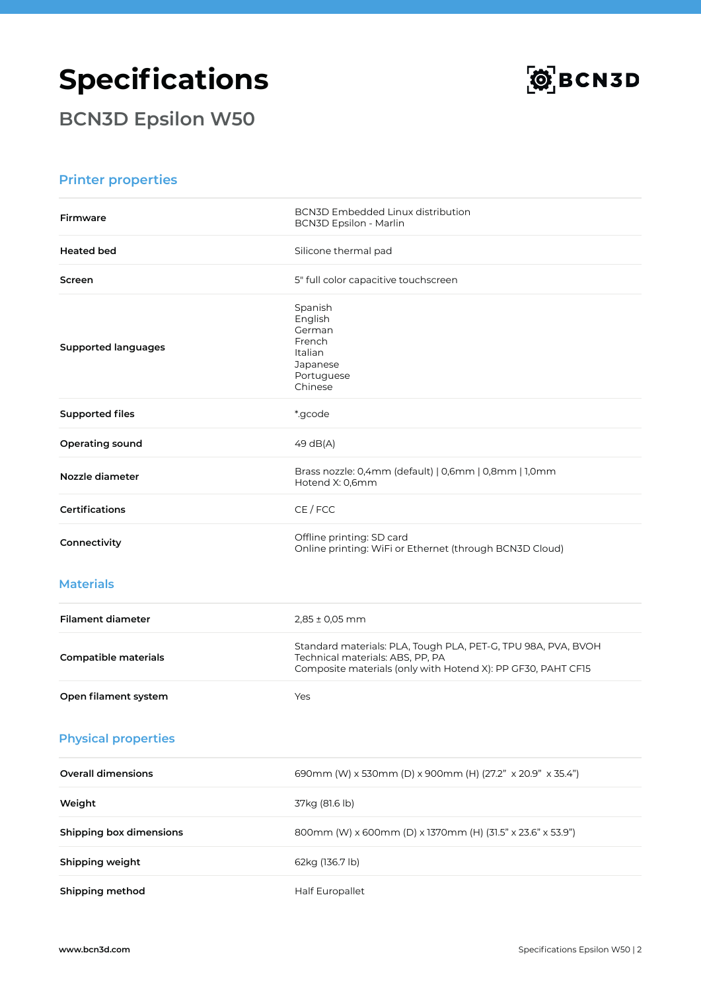# **Specifications**



**BCN3D Epsilon W50**

#### **Printer properties**

| <b>Firmware</b>                | <b>BCN3D Embedded Linux distribution</b><br><b>BCN3D Epsilon - Marlin</b>                                                                                         |
|--------------------------------|-------------------------------------------------------------------------------------------------------------------------------------------------------------------|
| <b>Heated bed</b>              | Silicone thermal pad                                                                                                                                              |
| Screen                         | 5" full color capacitive touchscreen                                                                                                                              |
| <b>Supported languages</b>     | Spanish<br>English<br>German<br>French<br>Italian<br>Japanese<br>Portuguese<br>Chinese                                                                            |
| <b>Supported files</b>         | *.gcode                                                                                                                                                           |
| Operating sound                | 49 dB(A)                                                                                                                                                          |
| Nozzle diameter                | Brass nozzle: 0,4mm (default)   0,6mm   0,8mm   1,0mm<br>Hotend X: 0,6mm                                                                                          |
| <b>Certifications</b>          | CE / FCC                                                                                                                                                          |
| Connectivity                   | Offline printing: SD card<br>Online printing: WiFi or Ethernet (through BCN3D Cloud)                                                                              |
| <b>Materials</b>               |                                                                                                                                                                   |
| <b>Filament diameter</b>       | $2,85 \pm 0,05$ mm                                                                                                                                                |
| <b>Compatible materials</b>    | Standard materials: PLA, Tough PLA, PET-G, TPU 98A, PVA, BVOH<br>Technical materials: ABS, PP, PA<br>Composite materials (only with Hotend X): PP GF30, PAHT CF15 |
| Open filament system           | Yes                                                                                                                                                               |
| <b>Physical properties</b>     |                                                                                                                                                                   |
| <b>Overall dimensions</b>      | 690mm (W) x 530mm (D) x 900mm (H) (27.2" x 20.9" x 35.4")                                                                                                         |
| Weight                         | 37kg (81.6 lb)                                                                                                                                                    |
| <b>Shipping box dimensions</b> | 800mm (W) x 600mm (D) x 1370mm (H) (31.5" x 23.6" x 53.9")                                                                                                        |
| Shipping weight                | 62kg (136.7 lb)                                                                                                                                                   |
| Shipping method                | Half Europallet                                                                                                                                                   |